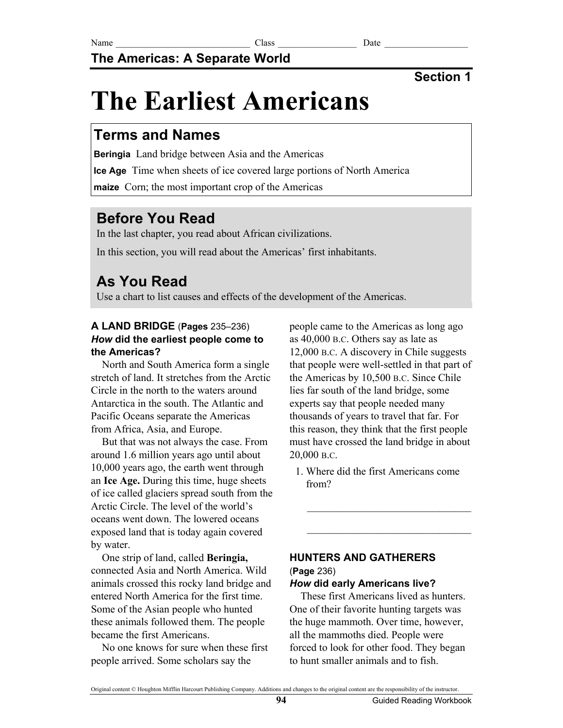### **Section 1**

# **The Earliest Americans**

## **Terms and Names**

**Beringia** Land bridge between Asia and the Americas **Ice Age** Time when sheets of ice covered large portions of North America **maize** Corn; the most important crop of the Americas

## **Before You Read**

In the last chapter, you read about African civilizations.

In this section, you will read about the Americas' first inhabitants.

## **As You Read**

Use a chart to list causes and effects of the development of the Americas.

#### **A LAND BRIDGE** (**Pages** 235–236) *How* **did the earliest people come to the Americas?**

North and South America form a single stretch of land. It stretches from the Arctic Circle in the north to the waters around Antarctica in the south. The Atlantic and Pacific Oceans separate the Americas from Africa, Asia, and Europe.

But that was not always the case. From around 1.6 million years ago until about 10,000 years ago, the earth went through an **Ice Age.** During this time, huge sheets of ice called glaciers spread south from the Arctic Circle. The level of the world's oceans went down. The lowered oceans exposed land that is today again covered by water.

One strip of land, called **Beringia,** connected Asia and North America. Wild animals crossed this rocky land bridge and entered North America for the first time. Some of the Asian people who hunted these animals followed them. The people became the first Americans.

No one knows for sure when these first people arrived. Some scholars say the

people came to the Americas as long ago as 40,000 B.C. Others say as late as 12,000 B.C. A discovery in Chile suggests that people were well-settled in that part of the Americas by 10,500 B.C. Since Chile lies far south of the land bridge, some experts say that people needed many thousands of years to travel that far. For this reason, they think that the first people must have crossed the land bridge in about 20,000 B.C.

 1. Where did the first Americans come from?

 $\mathcal{L}_\text{max}$ 

 $\mathcal{L}_\text{max}$ 

#### **HUNTERS AND GATHERERS**  (**Page** 236) *How* **did early Americans live?**

These first Americans lived as hunters. One of their favorite hunting targets was the huge mammoth. Over time, however, all the mammoths died. People were forced to look for other food. They began to hunt smaller animals and to fish.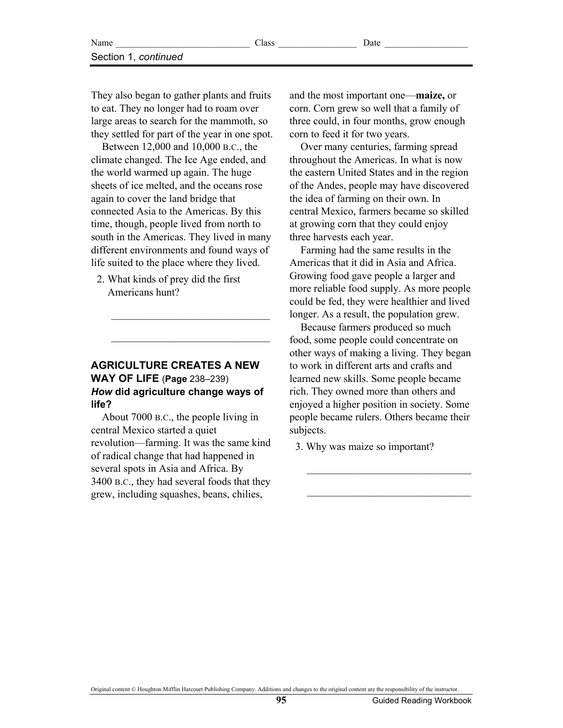They also began to gather plants and fruits to eat. They no longer had to roam over large areas to search for the mammoth, so they settled for part of the year in one spot.

Between 12,000 and 10,000 B.C., the climate changed. The Ice Age ended, and the world warmed up again. The huge sheets of ice melted, and the oceans rose again to cover the land bridge that connected Asia to the Americas. By this time, though, people lived from north to south in the Americas. They lived in many different environments and found ways of life suited to the place where they lived.

 2. What kinds of prey did the first Americans hunt?

#### **AGRICULTURE CREATES A NEW WAY OF LIFE** (**Page** 238–239) *How* **did agriculture change ways of life?**

 $\mathcal{L}_\text{max}$ 

 $\mathcal{L}_\text{max}$ 

About 7000 B.C., the people living in central Mexico started a quiet revolution—farming. It was the same kind of radical change that had happened in several spots in Asia and Africa. By 3400 B.C., they had several foods that they grew, including squashes, beans, chilies,

and the most important one—**maize,** or corn. Corn grew so well that a family of three could, in four months, grow enough corn to feed it for two years.

Over many centuries, farming spread throughout the Americas. In what is now the eastern United States and in the region of the Andes, people may have discovered the idea of farming on their own. In central Mexico, farmers became so skilled at growing corn that they could enjoy three harvests each year.

Farming had the same results in the Americas that it did in Asia and Africa. Growing food gave people a larger and more reliable food supply. As more people could be fed, they were healthier and lived longer. As a result, the population grew.

Because farmers produced so much food, some people could concentrate on other ways of making a living. They began to work in different arts and crafts and learned new skills. Some people became rich. They owned more than others and enjoyed a higher position in society. Some people became rulers. Others became their subjects.

 $\mathcal{L}_\text{max}$ 

 $\mathcal{L}_\text{max}$ 

3. Why was maize so important?